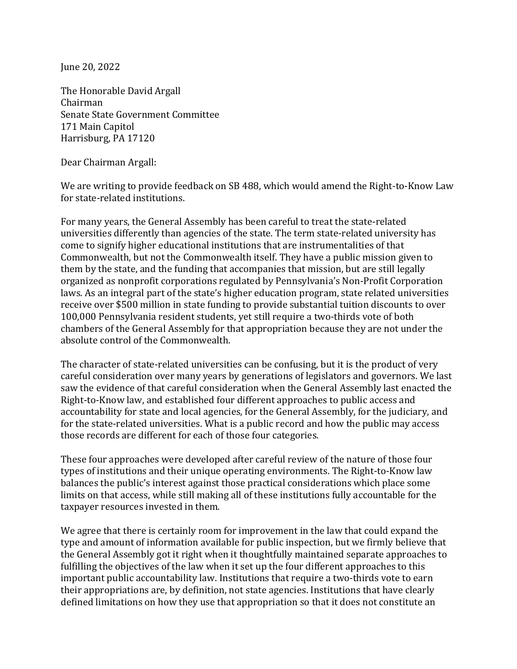June 20, 2022

The Honorable David Argall Chairman Senate State Government Committee 171 Main Capitol Harrisburg, PA 17120

Dear Chairman Argall:

We are writing to provide feedback on SB 488, which would amend the Right-to-Know Law for state-related institutions.

For many years, the General Assembly has been careful to treat the state-related universities differently than agencies of the state. The term state-related university has come to signify higher educational institutions that are instrumentalities of that Commonwealth, but not the Commonwealth itself. They have a public mission given to them by the state, and the funding that accompanies that mission, but are still legally organized as nonprofit corporations regulated by Pennsylvania's Non-Profit Corporation laws. As an integral part of the state's higher education program, state related universities receive over \$500 million in state funding to provide substantial tuition discounts to over 100,000 Pennsylvania resident students, yet still require a two-thirds vote of both chambers of the General Assembly for that appropriation because they are not under the absolute control of the Commonwealth.

The character of state-related universities can be confusing, but it is the product of very careful consideration over many years by generations of legislators and governors. We last saw the evidence of that careful consideration when the General Assembly last enacted the Right-to-Know law, and established four different approaches to public access and accountability for state and local agencies, for the General Assembly, for the judiciary, and for the state-related universities. What is a public record and how the public may access those records are different for each of those four categories.

These four approaches were developed after careful review of the nature of those four types of institutions and their unique operating environments. The Right-to-Know law balances the public's interest against those practical considerations which place some limits on that access, while still making all of these institutions fully accountable for the taxpayer resources invested in them.

We agree that there is certainly room for improvement in the law that could expand the type and amount of information available for public inspection, but we firmly believe that the General Assembly got it right when it thoughtfully maintained separate approaches to fulfilling the objectives of the law when it set up the four different approaches to this important public accountability law. Institutions that require a two-thirds vote to earn their appropriations are, by definition, not state agencies. Institutions that have clearly defined limitations on how they use that appropriation so that it does not constitute an